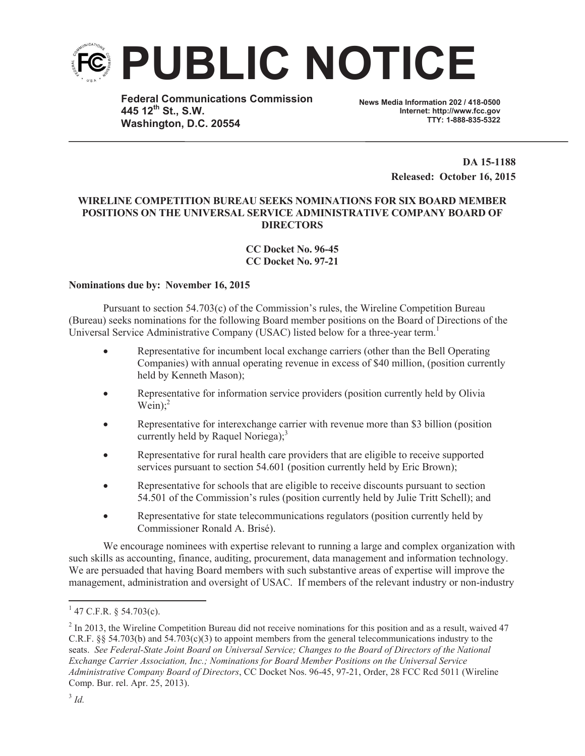

**Federal Communications Commission 445 12th St., S.W. Washington, D.C. 20554**

**News Media Information 202 / 418-0500 Internet: http://www.fcc.gov TTY: 1-888-835-5322**

> **DA 15-1188 Released: October 16, 2015**

## **WIRELINE COMPETITION BUREAU SEEKS NOMINATIONS FOR SIX BOARD MEMBER POSITIONS ON THE UNIVERSAL SERVICE ADMINISTRATIVE COMPANY BOARD OF DIRECTORS**

## **CC Docket No. 96-45 CC Docket No. 97-21**

## **Nominations due by: November 16, 2015**

Pursuant to section 54.703(c) of the Commission's rules, the Wireline Competition Bureau (Bureau) seeks nominations for the following Board member positions on the Board of Directions of the Universal Service Administrative Company (USAC) listed below for a three-year term.<sup>1</sup>

- Representative for incumbent local exchange carriers (other than the Bell Operating Companies) with annual operating revenue in excess of \$40 million, (position currently held by Kenneth Mason);
- Representative for information service providers (position currently held by Olivia Wein); $2$
- Representative for interexchange carrier with revenue more than \$3 billion (position currently held by Raquel Noriega); $3$
- · Representative for rural health care providers that are eligible to receive supported services pursuant to section 54.601 (position currently held by Eric Brown);
- · Representative for schools that are eligible to receive discounts pursuant to section 54.501 of the Commission's rules (position currently held by Julie Tritt Schell); and
- Representative for state telecommunications regulators (position currently held by Commissioner Ronald A. Brisé).

We encourage nominees with expertise relevant to running a large and complex organization with such skills as accounting, finance, auditing, procurement, data management and information technology. We are persuaded that having Board members with such substantive areas of expertise will improve the management, administration and oversight of USAC. If members of the relevant industry or non-industry

 $1$  47 C.F.R. § 54.703(c).

 $2 \text{ In } 2013$ , the Wireline Competition Bureau did not receive nominations for this position and as a result, waived 47 C.R.F. §§ 54.703(b) and 54.703(c)(3) to appoint members from the general telecommunications industry to the seats. *See Federal-State Joint Board on Universal Service; Changes to the Board of Directors of the National Exchange Carrier Association, Inc.; Nominations for Board Member Positions on the Universal Service Administrative Company Board of Directors*, CC Docket Nos. 96-45, 97-21, Order, 28 FCC Rcd 5011 (Wireline Comp. Bur. rel. Apr. 25, 2013).